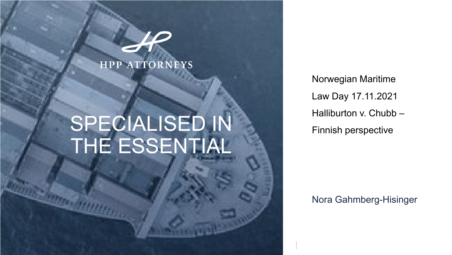### **HPP ATTORNEYS**

# SPECIALISED IN THE ESSENTIAL

Norwegian Maritime Law Day 17.11.2021 Halliburton v. Chubb – Finnish perspective

Nora Gahmberg-Hisinger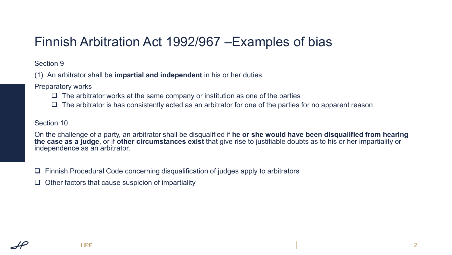# Finnish Arbitration Act 1992/967 –Examples of bias

Section 9

(1) An arbitrator shall be **impartial and independent** in his or her duties.

Preparatory works

- $\Box$  The arbitrator works at the same company or institution as one of the parties
- $\Box$  The arbitrator is has consistently acted as an arbitrator for one of the parties for no apparent reason

Section 10

On the challenge of a party, an arbitrator shall be disqualified if **he or she would have been disqualified from hearing the case as a judge**, or if **other circumstances exist** that give rise to justifiable doubts as to his or her impartiality or independence as an arbitrator.

 $\Box$  Finnish Procedural Code concerning disqualification of judges apply to arbitrators

 $\Box$  Other factors that cause suspicion of impartiality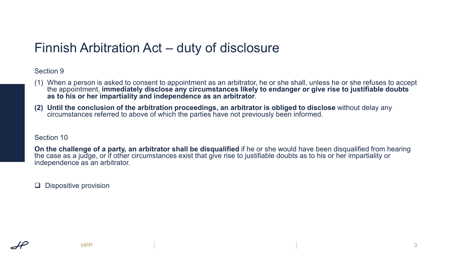# Finnish Arbitration Act – duty of disclosure

### Section 9

- (1) When a person is asked to consent to appointment as an arbitrator, he or she shall, unless he or she refuses to accept the appointment, **immediately disclose any circumstances likely to endanger or give rise to justifiable doubts as to his or her impartiality and independence as an arbitrator**.
- **(2) Until the conclusion of the arbitration proceedings, an arbitrator is obliged to disclose** without delay any circumstances referred to above of which the parties have not previously been informed.

#### Section 10

**On the challenge of a party, an arbitrator shall be disqualified** if he or she would have been disqualified from hearing the case as a judge, or if other circumstances exist that give rise to justifiable doubts as to his or her impartiality or independence as an arbitrator.

 $\Box$  Dispositive provision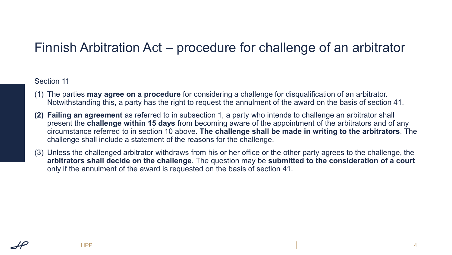# Finnish Arbitration Act – procedure for challenge of an arbitrator

### Section 11

- (1) The parties **may agree on a procedure** for considering a challenge for disqualification of an arbitrator. Notwithstanding this, a party has the right to request the annulment of the award on the basis of section 41.
- **(2) Failing an agreement** as referred to in subsection 1, a party who intends to challenge an arbitrator shall present the **challenge within 15 days** from becoming aware of the appointment of the arbitrators and of any circumstance referred to in section 10 above. **The challenge shall be made in writing to the arbitrators**. The challenge shall include a statement of the reasons for the challenge.
- (3) Unless the challenged arbitrator withdraws from his or her office or the other party agrees to the challenge, the **arbitrators shall decide on the challenge**. The question may be **submitted to the consideration of a court**  only if the annulment of the award is requested on the basis of section 41.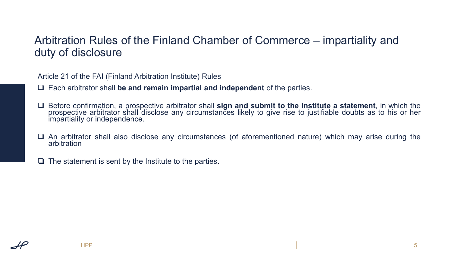### Arbitration Rules of the Finland Chamber of Commerce – impartiality and duty of disclosure

Article 21 of the FAI (Finland Arbitration Institute) Rules

Each arbitrator shall **be and remain impartial and independent** of the parties.

 Before confirmation, a prospective arbitrator shall **sign and submit to the Institute a statement**, in which the prospective arbitrator shall disclose any circumstances likely to give rise to justifiable doubts as to his or her impartiality or independence.

 $\Box$  An arbitrator shall also disclose any circumstances (of aforementioned nature) which may arise during the arbitration

 $\Box$  The statement is sent by the Institute to the parties.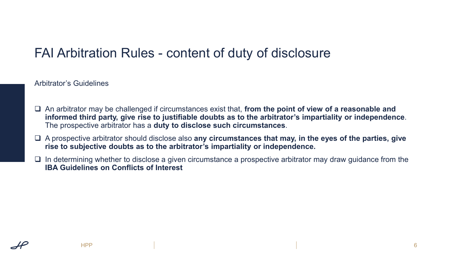# FAI Arbitration Rules - content of duty of disclosure

Arbitrator's Guidelines

- An arbitrator may be challenged if circumstances exist that, **from the point of view of a reasonable and informed third party, give rise to justifiable doubts as to the arbitrator's impartiality or independence**. The prospective arbitrator has a **duty to disclose such circumstances**.
- A prospective arbitrator should disclose also **any circumstances that may, in the eyes of the parties, give rise to subjective doubts as to the arbitrator's impartiality or independence.**
- $\Box$  In determining whether to disclose a given circumstance a prospective arbitrator may draw guidance from the **IBA Guidelines on Conflicts of Interest**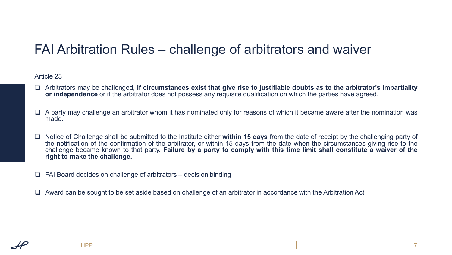# FAI Arbitration Rules – challenge of arbitrators and waiver

#### Article 23

- Arbitrators may be challenged, **if circumstances exist that give rise to justifiable doubts as to the arbitrator's impartiality or independence** or if the arbitrator does not possess any requisite qualification on which the parties have agreed.
- $\Box$  A party may challenge an arbitrator whom it has nominated only for reasons of which it became aware after the nomination was made.
- Notice of Challenge shall be submitted to the Institute either **within 15 days** from the date of receipt by the challenging party of the notification of the confirmation of the arbitrator, or within 15 days from the date when the circumstances giving rise to the challenge became known to that party. Failure by a party to comply with this time limit shall constitute a waiver of the **right to make the challenge.**
- $\Box$  FAI Board decides on challenge of arbitrators decision binding
- $\Box$  Award can be sought to be set aside based on challenge of an arbitrator in accordance with the Arbitration Act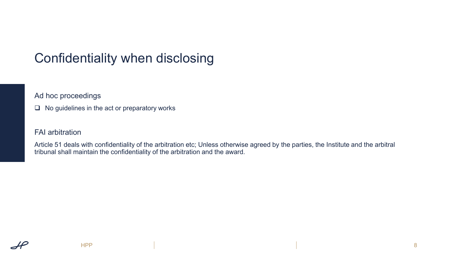# Confidentiality when disclosing

Ad hoc proceedings

 $\Box$  No guidelines in the act or preparatory works

### FAI arbitration

Article 51 deals with confidentiality of the arbitration etc; Unless otherwise agreed by the parties, the Institute and the arbitral tribunal shall maintain the confidentiality of the arbitration and the award.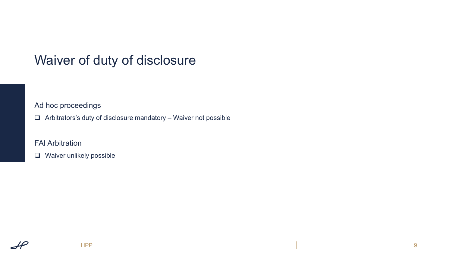# Waiver of duty of disclosure

Ad hoc proceedings

 $\Box$  Arbitrators's duty of disclosure mandatory – Waiver not possible

FAI Arbitration

**Q** Waiver unlikely possible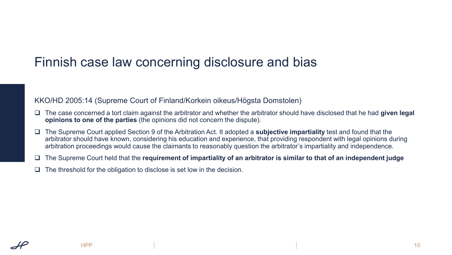### Finnish case law concerning disclosure and bias

KKO/HD 2005:14 (Supreme Court of Finland/Korkein oikeus/Högsta Domstolen)

- The case concerned a tort claim against the arbitrator and whether the arbitrator should have disclosed that he had **given legal opinions to one of the parties** (the opinions did not concern the dispute).
- The Supreme Court applied Section 9 of the Arbitration Act. It adopted a **subjective impartiality** test and found that the arbitrator should have known, considering his education and experience, that providing respondent with legal opinions during arbitration proceedings would cause the claimants to reasonably question the arbitrator's impartiality and independence.
- The Supreme Court held that the **requirement of impartiality of an arbitrator is similar to that of an independent judge**
- $\Box$  The threshold for the obligation to disclose is set low in the decision.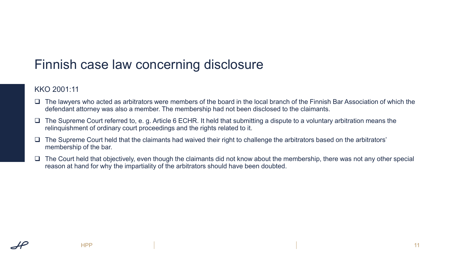# Finnish case law concerning disclosure

### KKO 2001:11

- □ The lawyers who acted as arbitrators were members of the board in the local branch of the Finnish Bar Association of which the defendant attorney was also a member. The membership had not been disclosed to the claimants.
- $\Box$  The Supreme Court referred to, e. g. Article 6 ECHR. It held that submitting a dispute to a voluntary arbitration means the relinquishment of ordinary court proceedings and the rights related to it.
- $\square$  The Supreme Court held that the claimants had waived their right to challenge the arbitrators based on the arbitrators' membership of the bar.
- $\Box$  The Court held that objectively, even though the claimants did not know about the membership, there was not any other special reason at hand for why the impartiality of the arbitrators should have been doubted.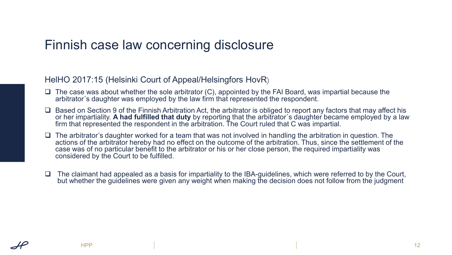### Finnish case law concerning disclosure

### HelHO 2017:15 (Helsinki Court of Appeal/Helsingfors HovR)

- $\Box$  The case was about whether the sole arbitrator (C), appointed by the FAI Board, was impartial because the arbitrator´s daughter was employed by the law firm that represented the respondent.
- $\square$  Based on Section 9 of the Finnish Arbitration Act, the arbitrator is obliged to report any factors that may affect his or her impartiality. **A had fulfilled that duty** by reporting that the arbitrator´s daughter became employed by a law firm that represented the respondent in the arbitration. The Court ruled that C was impartial.
- $\Box$  The arbitrator's daughter worked for a team that was not involved in handling the arbitration in question. The actions of the arbitrator hereby had no effect on the outcome of the arbitration. Thus, since the settlement of the case was of no particular benefit to the arbitrator or his or her close person, the required impartiality was considered by the Court to be fulfilled.
- $\Box$  The claimant had appealed as a basis for impartiality to the IBA-quidelines, which were referred to by the Court, but whether the guidelines were given any weight when making the decision does not follow from the judgment